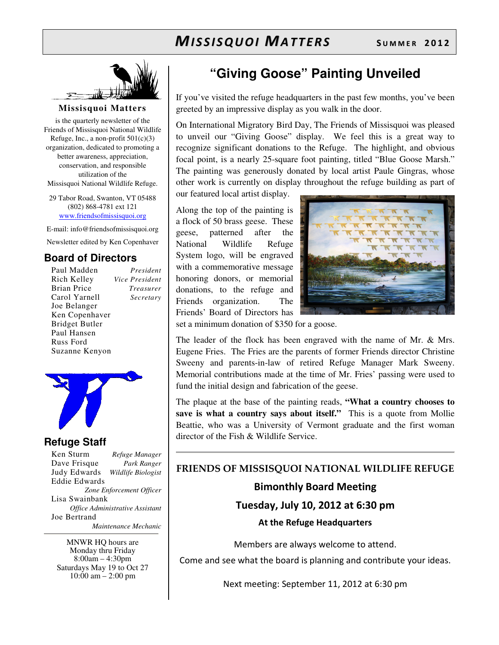

#### **Missisquoi Matters**

is the quarterly newsletter of the Friends of Missisquoi National Wildlife Refuge, Inc., a non-profit 501(c)(3) organization, dedicated to promoting a better awareness, appreciation, conservation, and responsible utilization of the Missisquoi National Wildlife Refuge.

29 Tabor Road, Swanton, VT 05488 (802) 868-4781 ext 121 www.friendsofmissisquoi.org

E-mail: info@friendsofmissisquoi.org

Newsletter edited by Ken Copenhaver

#### **Board of Directors**

Paul Madden *President* Rich Kelley *Vice President* Brian Price *Treasurer* Carol Yarnell *Secretary* Joe Belanger Ken Copenhaver Bridget Butler Paul Hansen Russ Ford Suzanne Kenyon



#### **Refuge Staff**

Ken Sturm *Refuge Manager* Dave Frisque *Park Ranger* Judy Edwards *Wildlife Biologist* Eddie Edwards *Zone Enforcement Officer* Lisa Swainbank *Office Administrative Assistant*  Joe Bertrand  *Maintenance Mechanic*

MNWR HQ hours are Monday thru Friday 8:00am – 4:30pm Saturdays May 19 to Oct 27  $10:00 \text{ am} - 2:00 \text{ pm}$ 

## **"Giving Goose" Painting Unveiled**

If you've visited the refuge headquarters in the past few months, you've been greeted by an impressive display as you walk in the door.

On International Migratory Bird Day, The Friends of Missisquoi was pleased to unveil our "Giving Goose" display. We feel this is a great way to recognize significant donations to the Refuge. The highlight, and obvious focal point, is a nearly 25-square foot painting, titled "Blue Goose Marsh." The painting was generously donated by local artist Paule Gingras, whose other work is currently on display throughout the refuge building as part of

our featured local artist display.

Along the top of the painting is a flock of 50 brass geese. These geese, patterned after the National Wildlife Refuge System logo, will be engraved with a commemorative message honoring donors, or memorial donations, to the refuge and Friends organization. The Friends' Board of Directors has



set a minimum donation of \$350 for a goose.

The leader of the flock has been engraved with the name of Mr. & Mrs. Eugene Fries. The Fries are the parents of former Friends director Christine Sweeny and parents-in-law of retired Refuge Manager Mark Sweeny. Memorial contributions made at the time of Mr. Fries' passing were used to fund the initial design and fabrication of the geese.

The plaque at the base of the painting reads, **"What a country chooses to save is what a country says about itself."** This is a quote from Mollie Beattie, who was a University of Vermont graduate and the first woman director of the Fish & Wildlife Service.

## FRIENDS OF MISSISQUOI NATIONAL WILDLIFE REFUGE Bimonthly Board Meeting Tuesday, July 10, 2012 at 6:30 pm At the Refuge Headquarters

Members are always welcome to attend.

Come and see what the board is planning and contribute your ideas.

Next meeting: September 11, 2012 at 6:30 pm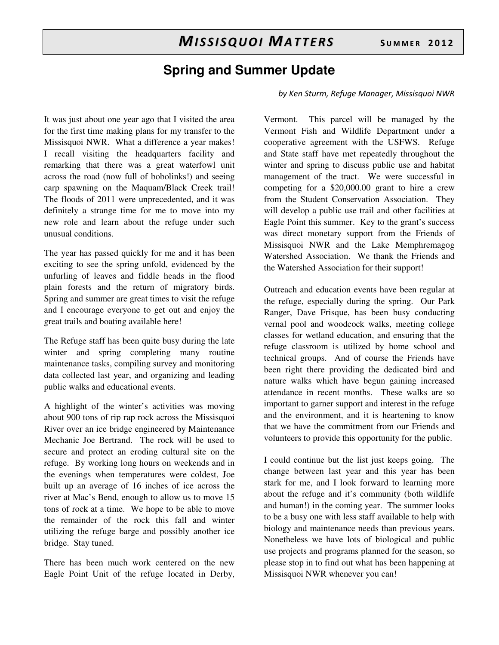## **Spring and Summer Update**

### by Ken Sturm, Refuge Manager, Missisquoi NWR

It was just about one year ago that I visited the area for the first time making plans for my transfer to the Missisquoi NWR. What a difference a year makes! I recall visiting the headquarters facility and remarking that there was a great waterfowl unit across the road (now full of bobolinks!) and seeing carp spawning on the Maquam/Black Creek trail! The floods of 2011 were unprecedented, and it was definitely a strange time for me to move into my new role and learn about the refuge under such unusual conditions.

The year has passed quickly for me and it has been exciting to see the spring unfold, evidenced by the unfurling of leaves and fiddle heads in the flood plain forests and the return of migratory birds. Spring and summer are great times to visit the refuge and I encourage everyone to get out and enjoy the great trails and boating available here!

The Refuge staff has been quite busy during the late winter and spring completing many routine maintenance tasks, compiling survey and monitoring data collected last year, and organizing and leading public walks and educational events.

A highlight of the winter's activities was moving about 900 tons of rip rap rock across the Missisquoi River over an ice bridge engineered by Maintenance Mechanic Joe Bertrand. The rock will be used to secure and protect an eroding cultural site on the refuge. By working long hours on weekends and in the evenings when temperatures were coldest, Joe built up an average of 16 inches of ice across the river at Mac's Bend, enough to allow us to move 15 tons of rock at a time. We hope to be able to move the remainder of the rock this fall and winter utilizing the refuge barge and possibly another ice bridge. Stay tuned.

There has been much work centered on the new Eagle Point Unit of the refuge located in Derby, Vermont. This parcel will be managed by the Vermont Fish and Wildlife Department under a cooperative agreement with the USFWS. Refuge and State staff have met repeatedly throughout the winter and spring to discuss public use and habitat management of the tract. We were successful in competing for a \$20,000.00 grant to hire a crew from the Student Conservation Association. They will develop a public use trail and other facilities at Eagle Point this summer. Key to the grant's success was direct monetary support from the Friends of Missisquoi NWR and the Lake Memphremagog Watershed Association. We thank the Friends and the Watershed Association for their support!

Outreach and education events have been regular at the refuge, especially during the spring. Our Park Ranger, Dave Frisque, has been busy conducting vernal pool and woodcock walks, meeting college classes for wetland education, and ensuring that the refuge classroom is utilized by home school and technical groups. And of course the Friends have been right there providing the dedicated bird and nature walks which have begun gaining increased attendance in recent months. These walks are so important to garner support and interest in the refuge and the environment, and it is heartening to know that we have the commitment from our Friends and volunteers to provide this opportunity for the public.

I could continue but the list just keeps going. The change between last year and this year has been stark for me, and I look forward to learning more about the refuge and it's community (both wildlife and human!) in the coming year. The summer looks to be a busy one with less staff available to help with biology and maintenance needs than previous years. Nonetheless we have lots of biological and public use projects and programs planned for the season, so please stop in to find out what has been happening at Missisquoi NWR whenever you can!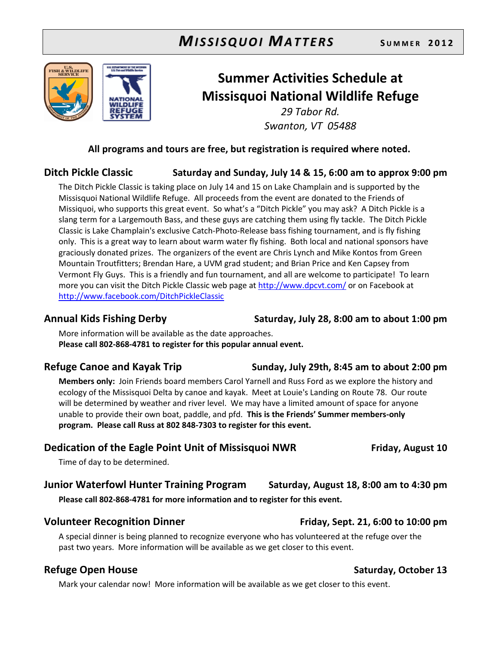

## Summer Activities Schedule at Missisquoi National Wildlife Refuge

29 Tabor Rd. Swanton, VT 05488

#### All programs and tours are free, but registration is required where noted.

### Ditch Pickle Classic Saturday and Sunday, July 14 & 15, 6:00 am to approx 9:00 pm

The Ditch Pickle Classic is taking place on July 14 and 15 on Lake Champlain and is supported by the Missisquoi National Wildlife Refuge. All proceeds from the event are donated to the Friends of Missiquoi, who supports this great event. So what's a "Ditch Pickle" you may ask? A Ditch Pickle is a slang term for a Largemouth Bass, and these guys are catching them using fly tackle. The Ditch Pickle Classic is Lake Champlain's exclusive Catch-Photo-Release bass fishing tournament, and is fly fishing only. This is a great way to learn about warm water fly fishing. Both local and national sponsors have graciously donated prizes. The organizers of the event are Chris Lynch and Mike Kontos from Green Mountain Troutfitters; Brendan Hare, a UVM grad student; and Brian Price and Ken Capsey from Vermont Fly Guys. This is a friendly and fun tournament, and all are welcome to participate! To learn more you can visit the Ditch Pickle Classic web page at http://www.dpcvt.com/ or on Facebook at http://www.facebook.com/DitchPickleClassic

Annual Kids Fishing Derby Saturday, July 28, 8:00 am to about 1:00 pm

More information will be available as the date approaches. Please call 802-868-4781 to register for this popular annual event.

Members only: Join Friends board members Carol Yarnell and Russ Ford as we explore the history and ecology of the Missisquoi Delta by canoe and kayak. Meet at Louie's Landing on Route 78. Our route will be determined by weather and river level. We may have a limited amount of space for anyone unable to provide their own boat, paddle, and pfd. This is the Friends' Summer members-only program. Please call Russ at 802 848-7303 to register for this event.

### Dedication of the Eagle Point Unit of Missisquoi NWR Friday, August 10

Time of day to be determined.

#### Junior Waterfowl Hunter Training Program Saturday, August 18, 8:00 am to 4:30 pm Please call 802-868-4781 for more information and to register for this event.

#### Volunteer Recognition Dinner Friday, Sept. 21, 6:00 to 10:00 pm

A special dinner is being planned to recognize everyone who has volunteered at the refuge over the past two years. More information will be available as we get closer to this event.

### Refuge Open House Saturday, October 13

Mark your calendar now! More information will be available as we get closer to this event.

### Refuge Canoe and Kayak Trip Sunday, July 29th, 8:45 am to about 2:00 pm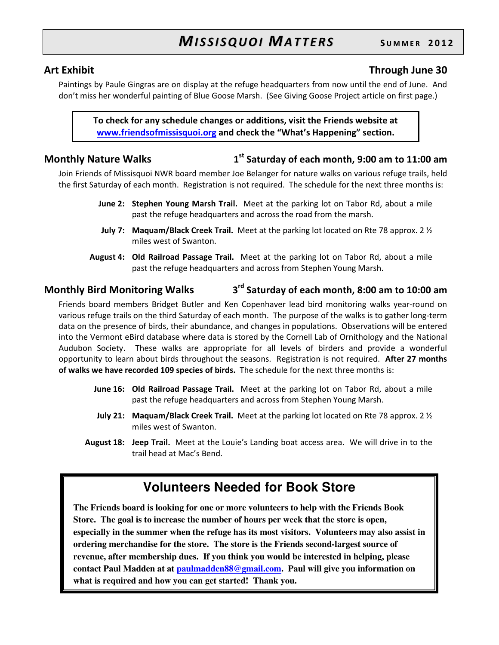#### Art Exhibit **Through June 30**

Paintings by Paule Gingras are on display at the refuge headquarters from now until the end of June. And don't miss her wonderful painting of Blue Goose Marsh. (See Giving Goose Project article on first page.)

To check for any schedule changes or additions, visit the Friends website at www.friendsofmissisquoi.org and check the "What's Happening" section.

#### Monthly Nature Walks 1

 $1<sup>st</sup>$  Saturday of each month, 9:00 am to 11:00 am

Join Friends of Missisquoi NWR board member Joe Belanger for nature walks on various refuge trails, held the first Saturday of each month. Registration is not required. The schedule for the next three months is:

- June 2: Stephen Young Marsh Trail. Meet at the parking lot on Tabor Rd, about a mile past the refuge headquarters and across the road from the marsh.
- **July 7:** Maquam/Black Creek Trail. Meet at the parking lot located on Rte 78 approx. 2  $\frac{1}{2}$ miles west of Swanton.
- August 4: Old Railroad Passage Trail. Meet at the parking lot on Tabor Rd, about a mile past the refuge headquarters and across from Stephen Young Marsh.

#### Monthly Bird Monitoring Walks 3 3<sup>rd</sup> Saturday of each month, 8:00 am to 10:00 am

Friends board members Bridget Butler and Ken Copenhaver lead bird monitoring walks year-round on various refuge trails on the third Saturday of each month. The purpose of the walks is to gather long-term data on the presence of birds, their abundance, and changes in populations. Observations will be entered into the Vermont eBird database where data is stored by the Cornell Lab of Ornithology and the National Audubon Society. These walks are appropriate for all levels of birders and provide a wonderful opportunity to learn about birds throughout the seasons. Registration is not required. After 27 months of walks we have recorded 109 species of birds. The schedule for the next three months is:

- June 16: Old Railroad Passage Trail. Meet at the parking lot on Tabor Rd, about a mile past the refuge headquarters and across from Stephen Young Marsh.
- **July 21:** Maquam/Black Creek Trail. Meet at the parking lot located on Rte 78 approx. 2  $\frac{1}{2}$ miles west of Swanton.
- August 18: Jeep Trail. Meet at the Louie's Landing boat access area. We will drive in to the trail head at Mac's Bend.

## **Volunteers Needed for Book Store**

**The Friends board is looking for one or more volunteers to help with the Friends Book Store. The goal is to increase the number of hours per week that the store is open, especially in the summer when the refuge has its most visitors. Volunteers may also assist in ordering merchandise for the store. The store is the Friends second-largest source of revenue, after membership dues. If you think you would be interested in helping, please contact Paul Madden at at paulmadden88@gmail.com. Paul will give you information on what is required and how you can get started! Thank you.**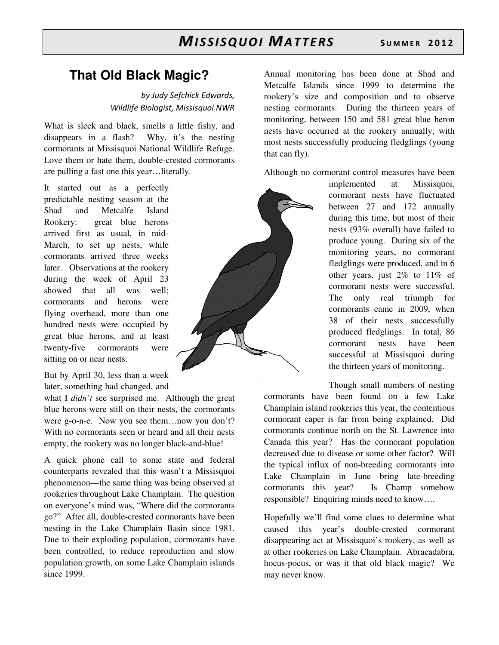## **That Old Black Magic?**

by Judy Sefchick Edwards, Wildlife Biologist, Missisquoi NWR

What is sleek and black, smells a little fishy, and disappears in a flash? Why, it's the nesting cormorants at Missisquoi National Wildlife Refuge. Love them or hate them, double-crested cormorants are pulling a fast one this year…literally.

It started out as a perfectly predictable nesting season at the Shad and Metcalfe Island Rookery: great blue herons arrived first as usual, in mid-March, to set up nests, while cormorants arrived three weeks later. Observations at the rookery during the week of April 23 showed that all was well; cormorants and herons were flying overhead, more than one hundred nests were occupied by great blue herons, and at least twenty-five cormorants were sitting on or near nests.

But by April 30, less than a week later, something had changed, and

what I *didn't* see surprised me. Although the great blue herons were still on their nests, the cormorants were g-o-n-e. Now you see them…now you don't? With no cormorants seen or heard and all their nests empty, the rookery was no longer black-and-blue!

A quick phone call to some state and federal counterparts revealed that this wasn't a Missisquoi phenomenon—the same thing was being observed at rookeries throughout Lake Champlain. The question on everyone's mind was, "Where did the cormorants go?" After all, double-crested cormorants have been nesting in the Lake Champlain Basin since 1981. Due to their exploding population, cormorants have been controlled, to reduce reproduction and slow population growth, on some Lake Champlain islands since 1999.

Annual monitoring has been done at Shad and Metcalfe Islands since 1999 to determine the rookery's size and composition and to observe nesting cormorants. During the thirteen years of monitoring, between 150 and 581 great blue heron nests have occurred at the rookery annually, with most nests successfully producing fledglings (young that can fly).

Although no cormorant control measures have been

implemented at Missisquoi, cormorant nests have fluctuated between 27 and 172 annually during this time, but most of their nests (93% overall) have failed to produce young. During six of the monitoring years, no cormorant fledglings were produced, and in 6 other years, just 2% to 11% of cormorant nests were successful. The only real triumph for cormorants came in 2009, when 38 of their nests successfully produced fledglings. In total, 86 cormorant nests have been successful at Missisquoi during the thirteen years of monitoring.

Though small numbers of nesting

cormorants have been found on a few Lake Champlain island rookeries this year, the contentious cormorant caper is far from being explained. Did cormorants continue north on the St. Lawrence into Canada this year? Has the cormorant population decreased due to disease or some other factor? Will the typical influx of non-breeding cormorants into Lake Champlain in June bring late-breeding cormorants this year? Is Champ somehow responsible? Enquiring minds need to know….

Hopefully we'll find some clues to determine what caused this year's double-crested cormorant disappearing act at Missisquoi's rookery, as well as at other rookeries on Lake Champlain. Abracadabra, hocus-pocus, or was it that old black magic? We may never know.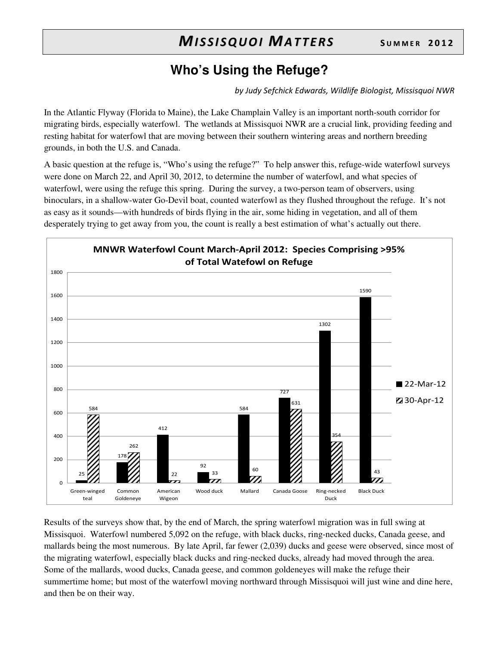## **Who's Using the Refuge?**

by Judy Sefchick Edwards, Wildlife Biologist, Missisquoi NWR

In the Atlantic Flyway (Florida to Maine), the Lake Champlain Valley is an important north-south corridor for migrating birds, especially waterfowl. The wetlands at Missisquoi NWR are a crucial link, providing feeding and resting habitat for waterfowl that are moving between their southern wintering areas and northern breeding grounds, in both the U.S. and Canada.

A basic question at the refuge is, "Who's using the refuge?" To help answer this, refuge-wide waterfowl surveys were done on March 22, and April 30, 2012, to determine the number of waterfowl, and what species of waterfowl, were using the refuge this spring. During the survey, a two-person team of observers, using binoculars, in a shallow-water Go-Devil boat, counted waterfowl as they flushed throughout the refuge. It's not as easy as it sounds—with hundreds of birds flying in the air, some hiding in vegetation, and all of them desperately trying to get away from you, the count is really a best estimation of what's actually out there.



Results of the surveys show that, by the end of March, the spring waterfowl migration was in full swing at Missisquoi. Waterfowl numbered 5,092 on the refuge, with black ducks, ring-necked ducks, Canada geese, and mallards being the most numerous. By late April, far fewer (2,039) ducks and geese were observed, since most of the migrating waterfowl, especially black ducks and ring-necked ducks, already had moved through the area. Some of the mallards, wood ducks, Canada geese, and common goldeneyes will make the refuge their summertime home; but most of the waterfowl moving northward through Missisquoi will just wine and dine here, and then be on their way.